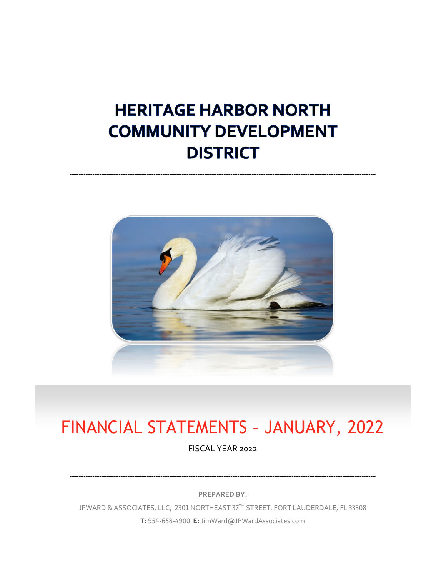## **HERITAGE HARBOR NORTH COMMUNITY DEVELOPMENT DISTRICT**



# FINANCIAL STATEMENTS – JANUARY, 2022

FISCAL YEAR 2022

**PREPARED BY:**

JPWARD & ASSOCIATES, LLC, 2301 NORTHEAST 37TH STREET, FORT LAUDERDALE, FL 33308 **T:** 954-658-4900 **E:** JimWard@JPWardAssociates.com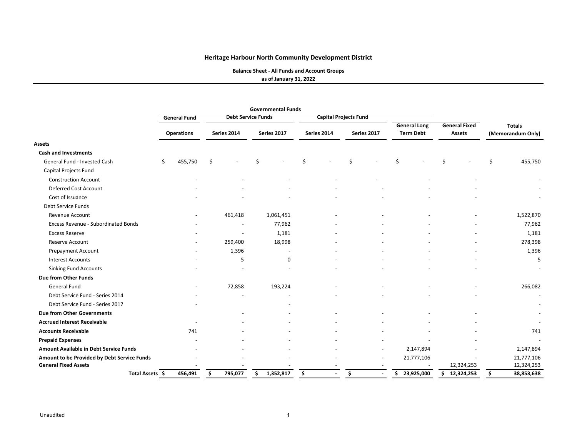**Balance Sheet ‐ All Funds and Account Groups**

**as of January 31, 2022**

|                                             |                     |             | <b>Governmental Funds</b> |             |                              |                     |                      |                   |  |
|---------------------------------------------|---------------------|-------------|---------------------------|-------------|------------------------------|---------------------|----------------------|-------------------|--|
|                                             | <b>General Fund</b> |             | <b>Debt Service Funds</b> |             | <b>Capital Projects Fund</b> |                     |                      |                   |  |
|                                             |                     |             |                           |             |                              | <b>General Long</b> | <b>General Fixed</b> | <b>Totals</b>     |  |
|                                             | <b>Operations</b>   | Series 2014 | Series 2017               | Series 2014 | Series 2017                  | <b>Term Debt</b>    | <b>Assets</b>        | (Memorandum Only) |  |
| <b>Assets</b>                               |                     |             |                           |             |                              |                     |                      |                   |  |
| <b>Cash and Investments</b>                 |                     |             |                           |             |                              |                     |                      |                   |  |
| General Fund - Invested Cash                | \$<br>455,750       | \$          | Ś                         | Ś.          | \$                           | \$                  | Ś                    | \$<br>455,750     |  |
| Capital Projects Fund                       |                     |             |                           |             |                              |                     |                      |                   |  |
| <b>Construction Account</b>                 |                     |             |                           |             |                              |                     |                      |                   |  |
| Deferred Cost Account                       |                     |             |                           |             |                              |                     |                      |                   |  |
| Cost of Issuance                            |                     |             |                           |             |                              |                     |                      |                   |  |
| Debt Service Funds                          |                     |             |                           |             |                              |                     |                      |                   |  |
| Revenue Account                             |                     | 461,418     | 1,061,451                 |             |                              |                     |                      | 1,522,870         |  |
| Excess Revenue - Subordinated Bonds         |                     |             | 77,962                    |             |                              |                     |                      | 77,962            |  |
| <b>Excess Reserve</b>                       |                     |             | 1,181                     |             |                              |                     |                      | 1,181             |  |
| Reserve Account                             |                     | 259,400     | 18,998                    |             |                              |                     |                      | 278,398           |  |
| <b>Prepayment Account</b>                   |                     | 1,396       |                           |             |                              |                     |                      | 1,396             |  |
| <b>Interest Accounts</b>                    |                     | 5           | $\mathbf 0$               |             |                              |                     |                      | 5                 |  |
| <b>Sinking Fund Accounts</b>                |                     |             |                           |             |                              |                     |                      |                   |  |
| Due from Other Funds                        |                     |             |                           |             |                              |                     |                      |                   |  |
| <b>General Fund</b>                         |                     | 72,858      | 193,224                   |             |                              |                     |                      | 266,082           |  |
| Debt Service Fund - Series 2014             |                     |             |                           |             |                              |                     |                      | $\sim$            |  |
| Debt Service Fund - Series 2017             |                     |             |                           |             |                              |                     |                      |                   |  |
| <b>Due from Other Governments</b>           |                     |             |                           |             |                              |                     |                      |                   |  |
| <b>Accrued Interest Receivable</b>          |                     |             |                           |             |                              |                     |                      |                   |  |
| <b>Accounts Receivable</b>                  | 741                 |             |                           |             |                              |                     |                      | 741               |  |
| <b>Prepaid Expenses</b>                     |                     |             |                           |             |                              |                     |                      |                   |  |
| Amount Available in Debt Service Funds      |                     |             |                           |             |                              | 2,147,894           |                      | 2,147,894         |  |
| Amount to be Provided by Debt Service Funds |                     |             |                           |             |                              | 21,777,106          |                      | 21,777,106        |  |
| <b>General Fixed Assets</b>                 |                     |             |                           |             |                              |                     | 12,324,253           | 12,324,253        |  |
| Total Assets \$                             | 456,491             | 795,077     | 1,352,817                 | \$          | \$                           | 23,925,000<br>\$.   | 12,324,253<br>S.     | 38,853,638        |  |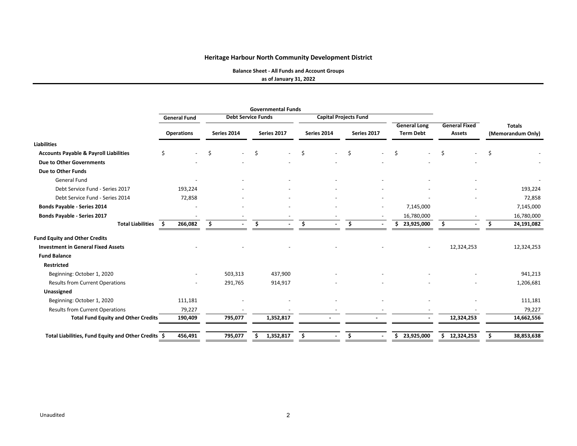**Balance Sheet ‐ All Funds and Account Groups**

**as of January 31, 2022**

|                                                     | <b>Governmental Funds</b> |                   |    |                           |    |             |     |                              |             |                          |                                         |            |                                       |            |                                    |            |
|-----------------------------------------------------|---------------------------|-------------------|----|---------------------------|----|-------------|-----|------------------------------|-------------|--------------------------|-----------------------------------------|------------|---------------------------------------|------------|------------------------------------|------------|
|                                                     | <b>General Fund</b>       |                   |    | <b>Debt Service Funds</b> |    |             |     | <b>Capital Projects Fund</b> |             |                          |                                         |            |                                       |            |                                    |            |
|                                                     |                           | <b>Operations</b> |    | Series 2014               |    | Series 2017 |     | Series 2014                  | Series 2017 |                          | <b>General Long</b><br><b>Term Debt</b> |            | <b>General Fixed</b><br><b>Assets</b> |            | <b>Totals</b><br>(Memorandum Only) |            |
| <b>Liabilities</b>                                  |                           |                   |    |                           |    |             |     |                              |             |                          |                                         |            |                                       |            |                                    |            |
| <b>Accounts Payable &amp; Payroll Liabilities</b>   | Ś.                        |                   | Ŝ. |                           | \$ |             | \$  |                              | Ś.          | $\overline{\phantom{a}}$ | Ś.                                      |            | Ś                                     |            | Ŝ.                                 |            |
| Due to Other Governments                            |                           |                   |    |                           |    |             |     |                              |             |                          |                                         |            |                                       |            |                                    |            |
| Due to Other Funds                                  |                           |                   |    |                           |    |             |     |                              |             |                          |                                         |            |                                       |            |                                    |            |
| <b>General Fund</b>                                 |                           |                   |    |                           |    |             |     |                              |             |                          |                                         |            |                                       |            |                                    |            |
| Debt Service Fund - Series 2017                     | 193,224                   |                   |    |                           |    |             |     |                              |             |                          |                                         |            |                                       |            |                                    | 193,224    |
| Debt Service Fund - Series 2014                     | 72,858                    |                   |    |                           |    |             |     |                              |             |                          |                                         |            |                                       |            |                                    | 72,858     |
| Bonds Payable - Series 2014                         |                           |                   |    |                           |    |             |     |                              |             |                          |                                         | 7,145,000  |                                       |            |                                    | 7,145,000  |
| <b>Bonds Payable - Series 2017</b>                  |                           |                   |    |                           |    |             |     |                              |             |                          |                                         | 16,780,000 |                                       |            |                                    | 16,780,000 |
| <b>Total Liabilities</b>                            | 266,082<br>\$             |                   |    |                           | Ŝ. |             | \$. |                              | Ŝ.          |                          | \$.                                     | 23,925,000 |                                       |            |                                    | 24,191,082 |
| <b>Fund Equity and Other Credits</b>                |                           |                   |    |                           |    |             |     |                              |             |                          |                                         |            |                                       |            |                                    |            |
| <b>Investment in General Fixed Assets</b>           |                           |                   |    |                           |    |             |     |                              |             |                          |                                         |            |                                       | 12,324,253 |                                    | 12,324,253 |
| <b>Fund Balance</b>                                 |                           |                   |    |                           |    |             |     |                              |             |                          |                                         |            |                                       |            |                                    |            |
| <b>Restricted</b>                                   |                           |                   |    |                           |    |             |     |                              |             |                          |                                         |            |                                       |            |                                    |            |
| Beginning: October 1, 2020                          |                           |                   |    | 503,313                   |    | 437,900     |     |                              |             |                          |                                         |            |                                       |            |                                    | 941,213    |
| <b>Results from Current Operations</b>              |                           |                   |    | 291,765                   |    | 914,917     |     |                              |             |                          |                                         |            |                                       |            |                                    | 1,206,681  |
| Unassigned                                          |                           |                   |    |                           |    |             |     |                              |             |                          |                                         |            |                                       |            |                                    |            |
| Beginning: October 1, 2020                          | 111,181                   |                   |    |                           |    |             |     |                              |             |                          |                                         |            |                                       |            |                                    | 111,181    |
| <b>Results from Current Operations</b>              | 79,227                    |                   |    |                           |    |             |     |                              |             |                          |                                         |            |                                       |            |                                    | 79,227     |
| <b>Total Fund Equity and Other Credits</b>          | 190,409                   |                   |    | 795,077                   |    | 1,352,817   |     |                              |             |                          |                                         |            |                                       | 12,324,253 |                                    | 14,662,556 |
| Total Liabilities, Fund Equity and Other Credits \$ | 456,491                   |                   |    | 795,077                   |    | 1,352,817   | Ś   |                              | Ś           |                          | \$                                      | 23,925,000 | \$                                    | 12,324,253 |                                    | 38,853,638 |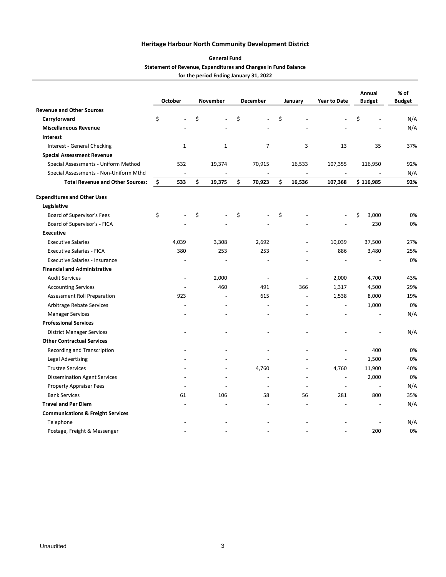#### **Statement of Revenue, Expenditures and Changes in Fund Balance for the period Ending January 31, 2022 General Fund**

|                                              | <b>October</b>           | November     | December       | January        | <b>Year to Date</b> | Annual<br><b>Budget</b> | % of<br><b>Budget</b> |
|----------------------------------------------|--------------------------|--------------|----------------|----------------|---------------------|-------------------------|-----------------------|
| <b>Revenue and Other Sources</b>             |                          |              |                |                |                     |                         |                       |
| Carryforward                                 | \$                       | \$           | \$             | \$             |                     | \$                      | N/A                   |
| <b>Miscellaneous Revenue</b>                 |                          |              |                |                |                     |                         | N/A                   |
| Interest                                     |                          |              |                |                |                     |                         |                       |
| Interest - General Checking                  | $\mathbf{1}$             | $\mathbf{1}$ | $\overline{7}$ | 3              | 13                  | 35                      | 37%                   |
| <b>Special Assessment Revenue</b>            |                          |              |                |                |                     |                         |                       |
| Special Assessments - Uniform Method         | 532                      | 19,374       | 70,915         | 16,533         | 107,355             | 116,950                 | 92%                   |
| Special Assessments - Non-Uniform Mthd       | $\overline{\phantom{a}}$ |              |                | $\Box$         |                     |                         | N/A                   |
| <b>Total Revenue and Other Sources:</b>      | \$<br>533                | \$<br>19,375 | \$<br>70,923   | \$<br>16,536   | 107,368             | \$116,985               | 92%                   |
| <b>Expenditures and Other Uses</b>           |                          |              |                |                |                     |                         |                       |
| Legislative                                  |                          |              |                |                |                     |                         |                       |
| Board of Supervisor's Fees                   | \$                       | \$           | \$             | \$             |                     | \$<br>3,000             | 0%                    |
| Board of Supervisor's - FICA                 |                          |              |                |                |                     | 230                     | 0%                    |
| <b>Executive</b>                             |                          |              |                |                |                     |                         |                       |
| <b>Executive Salaries</b>                    | 4,039                    | 3,308        | 2,692          |                | 10,039              | 37,500                  | 27%                   |
| <b>Executive Salaries - FICA</b>             | 380                      | 253          | 253            |                | 886                 | 3,480                   | 25%                   |
| <b>Executive Salaries - Insurance</b>        |                          |              |                |                |                     |                         | 0%                    |
| <b>Financial and Administrative</b>          |                          |              |                |                |                     |                         |                       |
| <b>Audit Services</b>                        | $\overline{a}$           | 2,000        | $\sim$         | $\overline{a}$ | 2,000               | 4,700                   | 43%                   |
| <b>Accounting Services</b>                   |                          | 460          | 491            | 366            | 1,317               | 4,500                   | 29%                   |
| Assessment Roll Preparation                  | 923                      |              | 615            | $\overline{a}$ | 1,538               | 8,000                   | 19%                   |
| Arbitrage Rebate Services                    |                          |              |                | $\overline{a}$ |                     | 1,000                   | 0%                    |
| <b>Manager Services</b>                      |                          |              |                |                |                     |                         | N/A                   |
| <b>Professional Services</b>                 |                          |              |                |                |                     |                         |                       |
| <b>District Manager Services</b>             |                          |              |                |                |                     |                         | N/A                   |
| <b>Other Contractual Services</b>            |                          |              |                |                |                     |                         |                       |
| Recording and Transcription                  |                          |              |                |                |                     | 400                     | 0%                    |
| <b>Legal Advertising</b>                     |                          |              |                |                |                     | 1,500                   | 0%                    |
| <b>Trustee Services</b>                      |                          |              | 4,760          | $\overline{a}$ | 4,760               | 11,900                  | 40%                   |
| <b>Dissemination Agent Services</b>          |                          |              | $\blacksquare$ | $\overline{a}$ | $\overline{a}$      | 2,000                   | 0%                    |
| <b>Property Appraiser Fees</b>               |                          |              | $\blacksquare$ | $\overline{a}$ | $\overline{a}$      | $\overline{a}$          | N/A                   |
| <b>Bank Services</b>                         | 61                       | 106          | 58             | 56             | 281                 | 800                     | 35%                   |
| <b>Travel and Per Diem</b>                   |                          |              |                |                |                     |                         | N/A                   |
| <b>Communications &amp; Freight Services</b> |                          |              |                |                |                     |                         |                       |
| Telephone                                    |                          |              |                |                |                     |                         | N/A                   |
| Postage, Freight & Messenger                 |                          |              |                |                |                     | 200                     | 0%                    |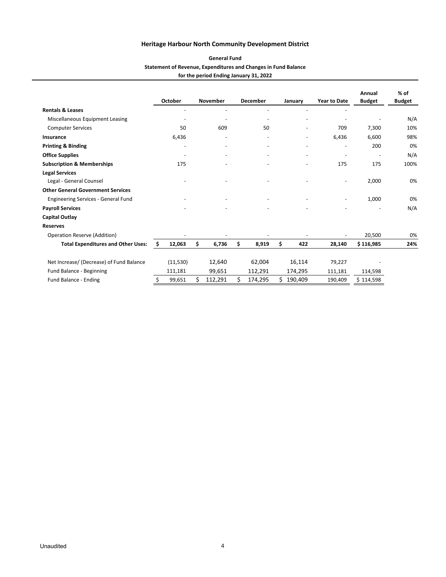#### **Statement of Revenue, Expenditures and Changes in Fund Balance for the period Ending January 31, 2022 General Fund**

|                                           |     | October                  |    | <b>November</b> |    | <b>December</b>          |    | January | <b>Year to Date</b>          | Annual<br><b>Budget</b>  | $%$ of<br><b>Budget</b> |
|-------------------------------------------|-----|--------------------------|----|-----------------|----|--------------------------|----|---------|------------------------------|--------------------------|-------------------------|
| <b>Rentals &amp; Leases</b>               |     |                          |    |                 |    |                          |    |         |                              |                          |                         |
| Miscellaneous Equipment Leasing           |     |                          |    |                 |    | $\overline{\phantom{a}}$ |    |         |                              |                          | N/A                     |
| <b>Computer Services</b>                  |     | 50                       |    | 609             |    | 50                       |    |         | 709                          | 7,300                    | 10%                     |
| Insurance                                 |     | 6,436                    |    |                 |    |                          |    |         | 6,436                        | 6,600                    | 98%                     |
| <b>Printing &amp; Binding</b>             |     | $\overline{\phantom{a}}$ |    |                 |    |                          |    |         | $\overline{\phantom{a}}$     | 200                      | 0%                      |
| <b>Office Supplies</b>                    |     | $\overline{\phantom{a}}$ |    |                 |    |                          |    |         | $\overline{\phantom{a}}$     | $\overline{\phantom{a}}$ | N/A                     |
| <b>Subscription &amp; Memberships</b>     |     | 175                      |    |                 |    |                          |    |         | 175                          | 175                      | 100%                    |
| <b>Legal Services</b>                     |     |                          |    |                 |    |                          |    |         |                              |                          |                         |
| Legal - General Counsel                   |     |                          |    |                 |    |                          |    |         | $\qquad \qquad \blacksquare$ | 2,000                    | 0%                      |
| <b>Other General Government Services</b>  |     |                          |    |                 |    |                          |    |         |                              |                          |                         |
| Engineering Services - General Fund       |     |                          |    |                 |    |                          |    |         | $\overline{\phantom{a}}$     | 1,000                    | 0%                      |
| <b>Payroll Services</b>                   |     |                          |    |                 |    |                          |    |         | $\overline{\phantom{a}}$     |                          | N/A                     |
| <b>Capital Outlay</b>                     |     |                          |    |                 |    |                          |    |         |                              |                          |                         |
| <b>Reserves</b>                           |     |                          |    |                 |    |                          |    |         |                              |                          |                         |
| <b>Operation Reserve (Addition)</b>       |     |                          |    |                 |    |                          |    |         |                              | 20,500                   | 0%                      |
| <b>Total Expenditures and Other Uses:</b> | \$. | 12,063                   | Ś. | 6,736           | \$ | 8,919                    | \$ | 422     | 28,140                       | \$116,985                | 24%                     |
| Net Increase/ (Decrease) of Fund Balance  |     | (11, 530)                |    | 12,640          |    | 62,004                   |    | 16,114  | 79,227                       |                          |                         |
| Fund Balance - Beginning                  |     | 111,181                  |    | 99,651          |    | 112,291                  |    | 174,295 | 111,181                      | 114,598                  |                         |
| Fund Balance - Ending                     | \$  | 99,651                   | Ś  | 112,291         | Ś  | 174,295                  | Ś  | 190,409 | 190,409                      | \$114,598                |                         |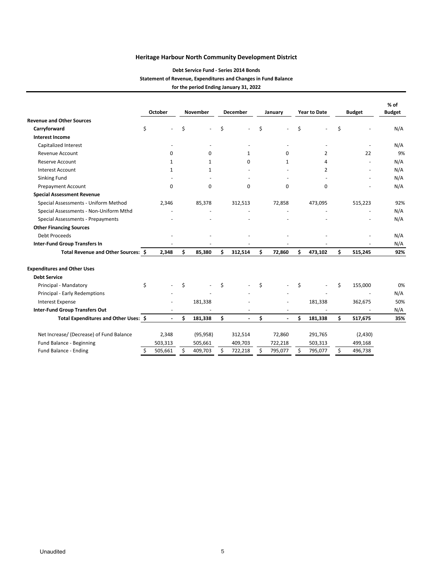#### **Debt Service Fund ‐ Series 2014 Bonds Statement of Revenue, Expenditures and Changes in Fund Balance for the period Ending January 31, 2022**

|                                          |    | October        |     | <b>November</b> |    | <b>December</b>          |    | January        |    | <b>Year to Date</b> | <b>Budget</b> |         | $%$ of<br><b>Budget</b> |  |
|------------------------------------------|----|----------------|-----|-----------------|----|--------------------------|----|----------------|----|---------------------|---------------|---------|-------------------------|--|
| <b>Revenue and Other Sources</b>         |    |                |     |                 |    |                          |    |                |    |                     |               |         |                         |  |
| Carryforward                             | \$ |                | \$  |                 | \$ |                          | \$ |                | \$ |                     | \$            |         | N/A                     |  |
| <b>Interest Income</b>                   |    |                |     |                 |    |                          |    |                |    |                     |               |         |                         |  |
| Capitalized Interest                     |    |                |     |                 |    |                          |    |                |    |                     |               |         | N/A                     |  |
| <b>Revenue Account</b>                   |    | $\Omega$       |     | 0               |    | 1                        |    | 0              |    | 2                   |               | 22      | 9%                      |  |
| <b>Reserve Account</b>                   |    | 1              |     | 1               |    | $\Omega$                 |    | 1              |    | 4                   |               |         | N/A                     |  |
| <b>Interest Account</b>                  |    | 1              |     | 1               |    |                          |    |                |    | 2                   |               |         | N/A                     |  |
| Sinking Fund                             |    |                |     |                 |    |                          |    |                |    |                     |               |         | N/A                     |  |
| Prepayment Account                       |    | $\mathbf 0$    |     | 0               |    | 0                        |    | 0              |    | 0                   |               |         | N/A                     |  |
| <b>Special Assessment Revenue</b>        |    |                |     |                 |    |                          |    |                |    |                     |               |         |                         |  |
| Special Assessments - Uniform Method     |    | 2.346          |     | 85,378          |    | 312,513                  |    | 72,858         |    | 473,095             |               | 515,223 | 92%                     |  |
| Special Assessments - Non-Uniform Mthd   |    |                |     |                 |    |                          |    |                |    |                     |               |         | N/A                     |  |
| Special Assessments - Prepayments        |    |                |     |                 |    |                          |    |                |    |                     |               |         | N/A                     |  |
| <b>Other Financing Sources</b>           |    |                |     |                 |    |                          |    |                |    |                     |               |         |                         |  |
| Debt Proceeds                            |    |                |     |                 |    |                          |    |                |    |                     |               |         | N/A                     |  |
| <b>Inter-Fund Group Transfers In</b>     |    |                |     |                 |    |                          |    | ۰.             |    |                     |               |         | N/A                     |  |
| Total Revenue and Other Sources: \$      |    | 2,348          | \$. | 85,380          | Ś  | 312,514                  | \$ | 72,860         | Ś  | 473,102             | \$            | 515,245 | 92%                     |  |
| <b>Expenditures and Other Uses</b>       |    |                |     |                 |    |                          |    |                |    |                     |               |         |                         |  |
| <b>Debt Service</b>                      |    |                |     |                 |    |                          |    |                |    |                     |               |         |                         |  |
| Principal - Mandatory                    | \$ |                | Ś   |                 | \$ |                          | \$ |                | \$ |                     | Ś.            | 155,000 | 0%                      |  |
| Principal - Early Redemptions            |    |                |     |                 |    |                          |    |                |    |                     |               |         | N/A                     |  |
| <b>Interest Expense</b>                  |    |                |     | 181,338         |    |                          |    |                |    | 181,338             |               | 362,675 | 50%                     |  |
| <b>Inter-Fund Group Transfers Out</b>    |    |                |     |                 |    |                          |    |                |    |                     |               |         | N/A                     |  |
| Total Expenditures and Other Uses: \$    |    | $\overline{a}$ | Ś.  | 181,338         | \$ | $\overline{\phantom{a}}$ | \$ | $\blacksquare$ | \$ | 181,338             | \$.           | 517,675 | 35%                     |  |
| Net Increase/ (Decrease) of Fund Balance |    | 2,348          |     | (95, 958)       |    | 312,514                  |    | 72,860         |    | 291,765             |               | (2,430) |                         |  |
| Fund Balance - Beginning                 |    | 503,313        |     | 505,661         |    | 409,703                  |    | 722,218        |    | 503,313             |               | 499,168 |                         |  |
| Fund Balance - Ending                    | \$ | 505,661        |     | 409,703         | Ś  | 722,218                  | \$ | 795,077        | Ś  | 795,077             | \$            | 496,738 |                         |  |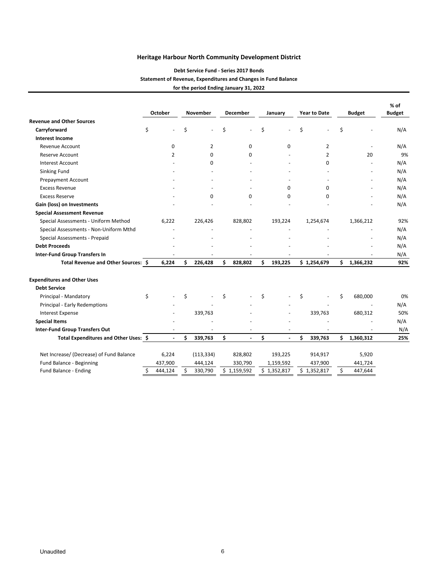#### **Debt Service Fund ‐ Series 2017 Bonds Statement of Revenue, Expenditures and Changes in Fund Balance for the period Ending January 31, 2022**

|                                          | <b>October</b> |    | November<br><b>December</b> |    |             | January                  |    | <b>Year to Date</b> |    | <b>Budget</b> | $%$ of<br><b>Budget</b> |  |
|------------------------------------------|----------------|----|-----------------------------|----|-------------|--------------------------|----|---------------------|----|---------------|-------------------------|--|
| <b>Revenue and Other Sources</b>         |                |    |                             |    |             |                          |    |                     |    |               |                         |  |
| Carryforward                             | \$             | \$ |                             | \$ |             | \$                       | \$ | ÷,                  | \$ |               | N/A                     |  |
| <b>Interest Income</b>                   |                |    |                             |    |             |                          |    |                     |    |               |                         |  |
| Revenue Account                          | 0              |    | 2                           |    | 0           | 0                        |    | 2                   |    |               | N/A                     |  |
| <b>Reserve Account</b>                   | 2              |    | 0                           |    | $\Omega$    |                          |    | 2                   |    | 20            | 9%                      |  |
| <b>Interest Account</b>                  |                |    | 0                           |    |             |                          |    | O                   |    |               | N/A                     |  |
| Sinking Fund                             |                |    |                             |    |             |                          |    |                     |    |               | N/A                     |  |
| <b>Prepayment Account</b>                |                |    |                             |    |             |                          |    |                     |    |               | N/A                     |  |
| <b>Excess Revenue</b>                    |                |    |                             |    |             | 0                        |    | 0                   |    |               | N/A                     |  |
| <b>Excess Reserve</b>                    |                |    | 0                           |    | $\Omega$    | $\Omega$                 |    | $\Omega$            |    |               | N/A                     |  |
| Gain (loss) on Investments               |                |    |                             |    |             |                          |    |                     |    |               | N/A                     |  |
| <b>Special Assessment Revenue</b>        |                |    |                             |    |             |                          |    |                     |    |               |                         |  |
| Special Assessments - Uniform Method     | 6,222          |    | 226,426                     |    | 828,802     | 193,224                  |    | 1,254,674           |    | 1,366,212     | 92%                     |  |
| Special Assessments - Non-Uniform Mthd   |                |    |                             |    |             |                          |    |                     |    |               | N/A                     |  |
| Special Assessments - Prepaid            |                |    |                             |    |             |                          |    |                     |    |               | N/A                     |  |
| <b>Debt Proceeds</b>                     |                |    |                             |    |             |                          |    |                     |    |               | N/A                     |  |
| <b>Inter-Fund Group Transfers In</b>     |                |    |                             |    |             |                          |    |                     |    |               | N/A                     |  |
| Total Revenue and Other Sources: \$      | 6,224          | Ś. | 226,428                     | \$ | 828,802     | \$<br>193,225            |    | \$1,254,679         | \$ | 1,366,232     | 92%                     |  |
| <b>Expenditures and Other Uses</b>       |                |    |                             |    |             |                          |    |                     |    |               |                         |  |
| <b>Debt Service</b>                      |                |    |                             |    |             |                          |    |                     |    |               |                         |  |
| Principal - Mandatory                    | \$             | Ś  |                             | \$ |             | \$                       | \$ |                     | Ś  | 680,000       | 0%                      |  |
| Principal - Early Redemptions            |                |    |                             |    |             |                          |    |                     |    |               | N/A                     |  |
| <b>Interest Expense</b>                  |                |    | 339,763                     |    |             |                          |    | 339,763             |    | 680,312       | 50%                     |  |
| <b>Special Items</b>                     |                |    |                             |    |             |                          |    |                     |    |               | N/A                     |  |
| <b>Inter-Fund Group Transfers Out</b>    |                |    |                             |    |             | $\overline{\phantom{a}}$ |    |                     |    |               | N/A                     |  |
| Total Expenditures and Other Uses: \$    | $\blacksquare$ | Ś. | 339,763                     | Ś  | ä,          | \$<br>$\blacksquare$     | Ś  | 339,763             | Ś  | 1,360,312     | 25%                     |  |
| Net Increase/ (Decrease) of Fund Balance | 6,224          |    | (113, 334)                  |    | 828,802     | 193,225                  |    | 914,917             |    | 5,920         |                         |  |
| Fund Balance - Beginning                 | 437,900        |    | 444,124                     |    | 330,790     | 1,159,592                |    | 437,900             |    | 441,724       |                         |  |
| Fund Balance - Ending                    | \$<br>444,124  | Ś. | 330,790                     |    | \$1,159,592 | \$1,352,817              |    | \$1,352,817         | \$ | 447,644       |                         |  |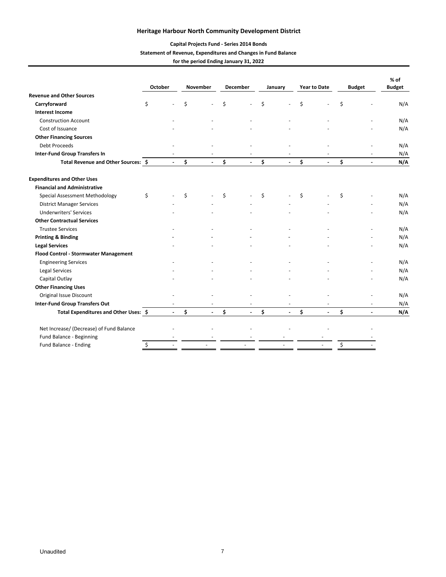#### **Capital Projects Fund ‐ Series 2014 Bonds**

#### **Statement of Revenue, Expenditures and Changes in Fund Balance**

**for the period Ending January 31, 2022**

|                                          | <b>October</b> |                |    | November       | <b>December</b> |                | January |                | <b>Year to Date</b> |                | <b>Budget</b> |                | $%$ of<br><b>Budget</b> |
|------------------------------------------|----------------|----------------|----|----------------|-----------------|----------------|---------|----------------|---------------------|----------------|---------------|----------------|-------------------------|
| <b>Revenue and Other Sources</b>         |                |                |    |                |                 |                |         |                |                     |                |               |                |                         |
| Carryforward                             | \$             |                | \$ |                | Ś               |                | \$      |                | \$                  |                | \$            |                | N/A                     |
| <b>Interest Income</b>                   |                |                |    |                |                 |                |         |                |                     |                |               |                |                         |
| <b>Construction Account</b>              |                |                |    |                |                 |                |         |                |                     |                |               |                | N/A                     |
| Cost of Issuance                         |                |                |    |                |                 |                |         |                |                     |                |               |                | N/A                     |
| <b>Other Financing Sources</b>           |                |                |    |                |                 |                |         |                |                     |                |               |                |                         |
| <b>Debt Proceeds</b>                     |                |                |    |                |                 |                |         |                |                     |                |               |                | N/A                     |
| <b>Inter-Fund Group Transfers In</b>     |                |                |    |                |                 |                |         |                |                     |                |               |                | N/A                     |
| Total Revenue and Other Sources: \$      |                |                | \$ |                | \$              |                | \$      |                | \$                  |                | \$            |                | N/A                     |
| <b>Expenditures and Other Uses</b>       |                |                |    |                |                 |                |         |                |                     |                |               |                |                         |
| <b>Financial and Administrative</b>      |                |                |    |                |                 |                |         |                |                     |                |               |                |                         |
| Special Assessment Methodology           | \$             |                | Ś  |                | \$              |                | \$      |                | \$                  |                | \$            |                | N/A                     |
| <b>District Manager Services</b>         |                |                |    |                |                 |                |         |                |                     |                |               |                | N/A                     |
| <b>Underwriters' Services</b>            |                |                |    |                |                 |                |         |                |                     |                |               |                | N/A                     |
| <b>Other Contractual Services</b>        |                |                |    |                |                 |                |         |                |                     |                |               |                |                         |
| <b>Trustee Services</b>                  |                |                |    |                |                 |                |         |                |                     |                |               |                | N/A                     |
| <b>Printing &amp; Binding</b>            |                |                |    |                |                 |                |         |                |                     |                |               |                | N/A                     |
| <b>Legal Services</b>                    |                |                |    |                |                 |                |         |                |                     |                |               |                | N/A                     |
| Flood Control - Stormwater Management    |                |                |    |                |                 |                |         |                |                     |                |               |                |                         |
| <b>Engineering Services</b>              |                |                |    |                |                 |                |         |                |                     |                |               |                | N/A                     |
| <b>Legal Services</b>                    |                |                |    |                |                 |                |         |                |                     |                |               |                | N/A                     |
| Capital Outlay                           |                |                |    |                |                 |                |         |                |                     |                |               |                | N/A                     |
| <b>Other Financing Uses</b>              |                |                |    |                |                 |                |         |                |                     |                |               |                |                         |
| Original Issue Discount                  |                |                |    |                |                 |                |         |                |                     |                |               |                | N/A                     |
| <b>Inter-Fund Group Transfers Out</b>    |                |                |    |                |                 |                |         |                |                     |                |               |                | N/A                     |
| Total Expenditures and Other Uses: \$    |                | $\blacksquare$ | \$ | $\blacksquare$ | \$              | $\blacksquare$ | \$      | $\blacksquare$ | \$                  | $\blacksquare$ | \$            | $\blacksquare$ | N/A                     |
| Net Increase/ (Decrease) of Fund Balance |                |                |    |                |                 |                |         |                |                     |                |               |                |                         |
| Fund Balance - Beginning                 |                |                |    |                |                 |                |         |                |                     |                |               |                |                         |
| Fund Balance - Ending                    | \$             |                |    |                |                 |                |         |                |                     |                | \$            |                |                         |